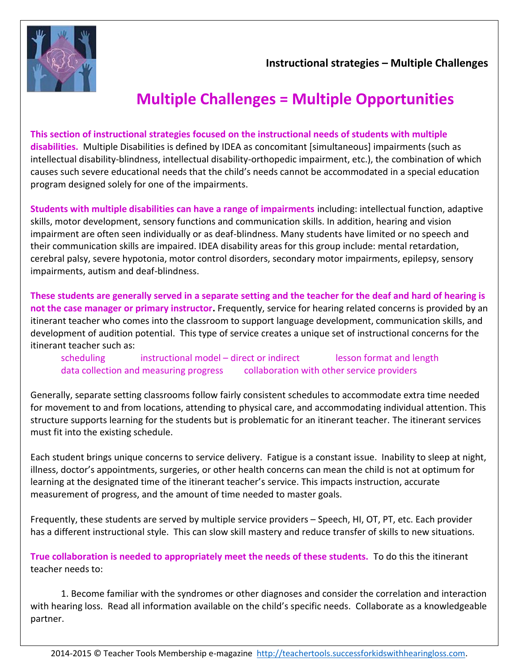

 **Instructional strategies – Multiple Challenges**

## **Multiple Challenges = Multiple Opportunities**

**This section of instructional strategies focused on the instructional needs of students with multiple disabilities.** Multiple Disabilities is defined by IDEA as concomitant [simultaneous] impairments (such as intellectual disability-blindness, intellectual disability-orthopedic impairment, etc.), the combination of which causes such severe educational needs that the child's needs cannot be accommodated in a special education program designed solely for one of the impairments.

**Students with multiple disabilities can have a range of impairments** including: intellectual function, adaptive skills, motor development, sensory functions and communication skills. In addition, hearing and vision impairment are often seen individually or as deaf-blindness. Many students have limited or no speech and their communication skills are impaired. IDEA disability areas for this group include: mental retardation, cerebral palsy, severe hypotonia, motor control disorders, secondary motor impairments, epilepsy, sensory impairments, autism and deaf-blindness.

**These students are generally served in a separate setting and the teacher for the deaf and hard of hearing is not the case manager or primary instructor.** Frequently, service for hearing related concerns is provided by an itinerant teacher who comes into the classroom to support language development, communication skills, and development of audition potential. This type of service creates a unique set of instructional concerns for the itinerant teacher such as:

scheduling instructional model – direct or indirect lesson format and length data collection and measuring progress collaboration with other service providers

Generally, separate setting classrooms follow fairly consistent schedules to accommodate extra time needed for movement to and from locations, attending to physical care, and accommodating individual attention. This structure supports learning for the students but is problematic for an itinerant teacher. The itinerant services must fit into the existing schedule.

Each student brings unique concerns to service delivery. Fatigue is a constant issue. Inability to sleep at night, illness, doctor's appointments, surgeries, or other health concerns can mean the child is not at optimum for learning at the designated time of the itinerant teacher's service. This impacts instruction, accurate measurement of progress, and the amount of time needed to master goals.

Frequently, these students are served by multiple service providers – Speech, HI, OT, PT, etc. Each provider has a different instructional style. This can slow skill mastery and reduce transfer of skills to new situations.

**True collaboration is needed to appropriately meet the needs of these students.** To do this the itinerant teacher needs to:

1. Become familiar with the syndromes or other diagnoses and consider the correlation and interaction with hearing loss. Read all information available on the child's specific needs. Collaborate as a knowledgeable partner.